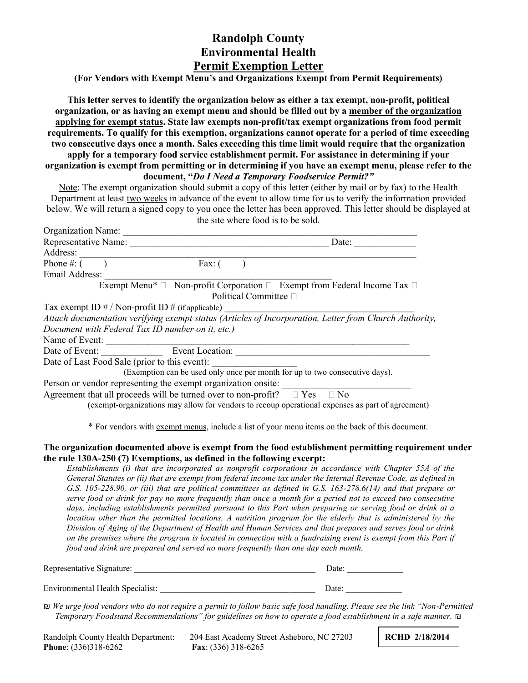## **Randolph County Environmental Health Permit Exemption Letter**

**(For Vendors with Exempt Menu's and Organizations Exempt from Permit Requirements)**

**This letter serves to identify the organization below as either a tax exempt, non-profit, political organization, or as having an exempt menu and should be filled out by a member of the organization applying for exempt status. State law exempts non-profit/tax exempt organizations from food permit requirements. To qualify for this exemption, organizations cannot operate for a period of time exceeding two consecutive days once a month. Sales exceeding this time limit would require that the organization apply for a temporary food service establishment permit. For assistance in determining if your organization is exempt from permitting or in determining if you have an exempt menu, please refer to the document, "***Do I Need a Temporary Foodservice Permit?"*

Note: The exempt organization should submit a copy of this letter (either by mail or by fax) to the Health Department at least two weeks in advance of the event to allow time for us to verify the information provided below. We will return a signed copy to you once the letter has been approved. This letter should be displayed at the site where food is to be sold.

| Organization Name:                                                                                                                                                               |           |
|----------------------------------------------------------------------------------------------------------------------------------------------------------------------------------|-----------|
| Representative Name:                                                                                                                                                             | Date:     |
| Address:                                                                                                                                                                         |           |
| Phone #: $($<br>Fax: $\theta$                                                                                                                                                    |           |
| Email Address:                                                                                                                                                                   |           |
| Exempt Menu <sup>*</sup> $\Box$ Non-profit Corporation $\Box$ Exempt from Federal Income Tax $\Box$                                                                              |           |
| Political Committee □                                                                                                                                                            |           |
| Tax exempt ID $\#$ / Non-profit ID $\#$ (if applicable)                                                                                                                          |           |
| Attach documentation verifying exempt status (Articles of Incorporation, Letter from Church Authority,                                                                           |           |
| Document with Federal Tax ID number on it, etc.)                                                                                                                                 |           |
| Name of Event:                                                                                                                                                                   |           |
| Event Location:<br>Date of Event:                                                                                                                                                |           |
| Date of Last Food Sale (prior to this event):                                                                                                                                    |           |
| (Exemption can be used only once per month for up to two consecutive days).                                                                                                      |           |
| Person or vendor representing the exempt organization onsite:                                                                                                                    |           |
| Agreement that all proceeds will be turned over to non-profit? $\square$ Yes<br>(exempt-organizations may allow for vendors to recoup operational expenses as part of agreement) | $\Box$ No |

\* For vendors with exempt menus, include a list of your menu items on the back of this document.

## **The organization documented above is exempt from the food establishment permitting requirement under the rule 130A-250 (7) Exemptions, as defined in the following excerpt:**

*Establishments (i) that are incorporated as nonprofit corporations in accordance with Chapter 55A of the General Statutes or (ii) that are exempt from federal income tax under the Internal Revenue Code, as defined in G.S. 105-228.90, or (iii) that are political committees as defined in G.S. 163-278.6(14) and that prepare or serve food or drink for pay no more frequently than once a month for a period not to exceed two consecutive days, including establishments permitted pursuant to this Part when preparing or serving food or drink at a location other than the permitted locations. A nutrition program for the elderly that is administered by the Division of Aging of the Department of Health and Human Services and that prepares and serves food or drink on the premises where the program is located in connection with a fundraising event is exempt from this Part if food and drink are prepared and served no more frequently than one day each month.*

| Representative Signature:               | Date: |  |
|-----------------------------------------|-------|--|
|                                         |       |  |
| <b>Environmental Health Specialist:</b> | Date: |  |

₪ *We urge food vendors who do not require a permit to follow basic safe food handling. Please see the link "Non-Permitted Temporary Foodstand Recommendations" for guidelines on how to operate a food establishment in a safe manner.* ₪

| Randolph County Health Department: | 204 |
|------------------------------------|-----|
| <b>Phone:</b> $(336)318-6262$      | Fa  |

East Academy Street Asheboro, NC 27203 **RCHD 2/18/2014 Phone**: (336)318-6262 **Fax**: (336) 318-6265